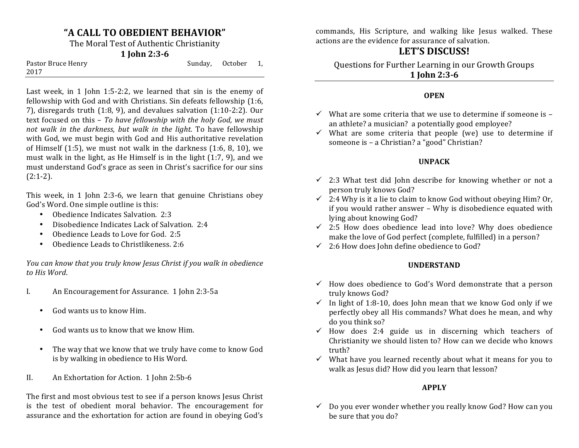## **"A CALL TO OBEDIENT BEHAVIOR"**

The Moral Test of Authentic Christianity

#### **1 John 2:3-6**

| Pastor Bruce Henry | Sunday, October 1, |  |
|--------------------|--------------------|--|
| 2017               |                    |  |

Last week, in 1 John 1:5-2:2, we learned that  $sin is$  the enemy of fellowship with God and with Christians. Sin defeats fellowship (1:6, 7), disregards truth  $(1:8, 9)$ , and devalues salvation  $(1:10-2:2)$ . Our text focused on this - *To have fellowship with the holy God, we must not* walk in the darkness, but walk in the light. To have fellowship with God, we must begin with God and His authoritative revelation of Himself  $(1:5)$ , we must not walk in the darkness  $(1:6, 8, 10)$ , we must walk in the light, as He Himself is in the light  $(1:7, 9)$ , and we must understand God's grace as seen in Christ's sacrifice for our sins  $(2:1-2)$ .

This week, in  $1$  John 2:3-6, we learn that genuine Christians obey God's Word. One simple outline is this:

- Obedience Indicates Salvation. 2:3
- Disobedience Indicates Lack of Salvation. 2:4
- Obedience Leads to Love for God. 2:5
- Obedience Leads to Christlikeness. 2:6

*You can know that you truly know Jesus Christ if you walk in obedience to His Word*.

- I. An Encouragement for Assurance. 1 John 2:3-5a
	- God wants us to know Him.
	- God wants us to know that we know Him.
	- The way that we know that we truly have come to know God is by walking in obedience to His Word.
- II. An Exhortation for Action. 1 John 2:5b-6

The first and most obvious test to see if a person knows Jesus Christ is the test of obedient moral behavior. The encouragement for assurance and the exhortation for action are found in obeying God's

commands, His Scripture, and walking like Jesus walked. These actions are the evidence for assurance of salvation.

# LET'S DISCUSS!

Questions for Further Learning in our Growth Groups **1 John 2:3-6**

#### **OPEN**

- $\checkmark$  What are some criteria that we use to determine if someone is an athlete? a musician? a potentially good employee?
- $\checkmark$  What are some criteria that people (we) use to determine if someone is - a Christian? a "good" Christian?

### **UNPACK**

- $\checkmark$  2:3 What test did John describe for knowing whether or not a person truly knows God?
- $\checkmark$  2:4 Why is it a lie to claim to know God without obeying Him? Or, if you would rather answer - Why is disobedience equated with lying about knowing God?
- $\checkmark$  2:5 How does obedience lead into love? Why does obedience make the love of God perfect (complete, fulfilled) in a person?
- $\checkmark$  2:6 How does John define obedience to God?

#### **UNDERSTAND**

- $\checkmark$  How does obedience to God's Word demonstrate that a person truly knows God?
- $\checkmark$  In light of 1:8-10, does John mean that we know God only if we perfectly obey all His commands? What does he mean, and why do you think so?
- $\checkmark$  How does 2:4 guide us in discerning which teachers of Christianity we should listen to? How can we decide who knows truth?
- $\checkmark$  What have you learned recently about what it means for you to walk as Jesus did? How did you learn that lesson?

#### **APPLY**

 $\checkmark$  Do you ever wonder whether you really know God? How can you be sure that you do?